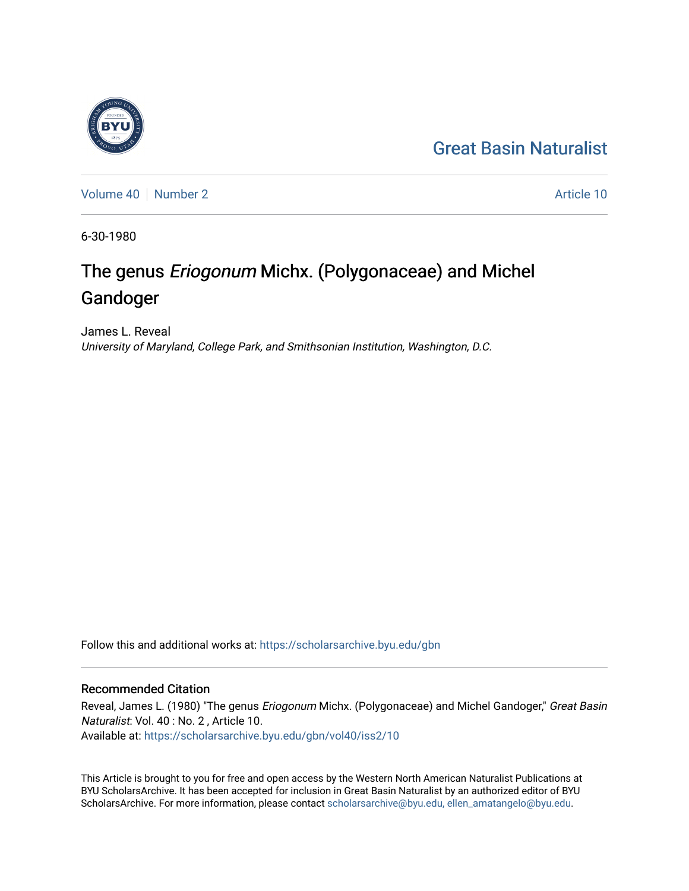## [Great Basin Naturalist](https://scholarsarchive.byu.edu/gbn)

[Volume 40](https://scholarsarchive.byu.edu/gbn/vol40) [Number 2](https://scholarsarchive.byu.edu/gbn/vol40/iss2) Article 10

6-30-1980

# The genus Eriogonum Michx. (Polygonaceae) and Michel Gandoger

James L. Reveal University of Maryland, College Park, and Smithsonian Institution, Washington, D.C.

Follow this and additional works at: [https://scholarsarchive.byu.edu/gbn](https://scholarsarchive.byu.edu/gbn?utm_source=scholarsarchive.byu.edu%2Fgbn%2Fvol40%2Fiss2%2F10&utm_medium=PDF&utm_campaign=PDFCoverPages) 

### Recommended Citation

Reveal, James L. (1980) "The genus Eriogonum Michx. (Polygonaceae) and Michel Gandoger," Great Basin Naturalist: Vol. 40 : No. 2 , Article 10. Available at: [https://scholarsarchive.byu.edu/gbn/vol40/iss2/10](https://scholarsarchive.byu.edu/gbn/vol40/iss2/10?utm_source=scholarsarchive.byu.edu%2Fgbn%2Fvol40%2Fiss2%2F10&utm_medium=PDF&utm_campaign=PDFCoverPages) 

This Article is brought to you for free and open access by the Western North American Naturalist Publications at BYU ScholarsArchive. It has been accepted for inclusion in Great Basin Naturalist by an authorized editor of BYU ScholarsArchive. For more information, please contact [scholarsarchive@byu.edu, ellen\\_amatangelo@byu.edu.](mailto:scholarsarchive@byu.edu,%20ellen_amatangelo@byu.edu)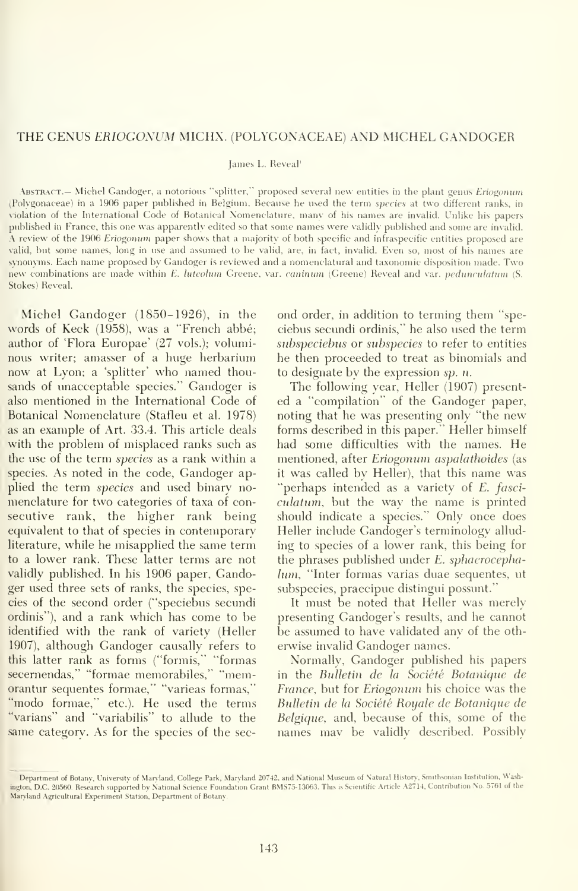#### THE GENUS ERIOGONUM MICHX. (POLYGONACEAE) AND MICHEL GANDOGER

#### James L. Reveal'

Abstract.— Michel Gandoger, a notorious "splitter," proposed several new entities in the plant genus Eriogonum (Polvgonaceae) in a 1906 paper published in Belgium. Because he used the term species at two different ranks, in violation of the International Code of Botanical Nomenclature, manv of his names are invalid. Unlike his papers published in France, this one was apparently edited so that some names were validly published and some are invalid. A review of the 1906 Eriogonum paper shows that <sup>a</sup> majority of both specific and infraspecific entities proposed are valid, but some names, long in use and assinned to be valid, are, in fact, invalid. Even so, most of his names are synonyms. Each name proposed by Gandoger is reviewed and a nomenclatural and taxonomic disposition made. Two new combinations are made within E. luteolum Greene, var. caninum (Greene) Reveal and var. pedunculatum (S. Stokes) Reveal.

Michel Gandoger (1850-1926), in the words of Keck (1958), was a "French abbe; author of 'Flora Europae' (27 vols.); voluminous writer; amasser of a huge herbarium now at Lyon; a 'splitter' who named thousands of unacceptable species." Gandoger is also mentioned in the International Code of Botanical Nomenclature (Stafleu et al. 1978) as an example of Art. 33.4. This article deals with the problem of misplaced ranks such as the use of the term species as a rank within a species. As noted in the code, Gandoger applied the term *species* and used binary nomenclature for two categories of taxa of con secutive rank, the higher rank being equivalent to that of species in contemporary literature, while he misapplied the same term to a lower rank. These latter terms are not validly published. In his 1906 paper, Gandoger used three sets of ranks, the species, species of the second order ("speciebus secundi ordinis"), and a rank which has come to be identified with the rank of variety (Heller 1907), although Gandoger causally refers to this latter rank as forms ("formis," "formas secernendas," "formae memorabiles," "memorantur sequentes formae," "varieas formas," "modo formae," etc.). He used the terms "varians" and "variabilis" to allude to the same category. As for the species of the sec-

ond order, in addition to terming them "speciebus secimdi ordinis," he also used the term subspeciebus or subspecies to refer to entities he then proceeded to treat as binomials and to designate by the expression sp. n.

The following year. Heller (1907) presented a "compilation" of the Gandoger paper, noting that he was presenting only "the new forms described in this paper." Heller himself had some difficulties with the names. He mentioned, after Eriogonum aspalathoides (as it was called bv Heller), that this name was "perhaps intended as a variety of E. fasciculatum, but the way the name is printed should indicate a species." Only once does Heller include Gandoger's terminology allud ing to species of a lower rank, this being for the phrases published under E. sphaerocephalum, "Inter formas varias duae sequentes, ut subspecies, praecipue distingui possunt."

It must be noted that Heller was merely presenting Gandoger's results, and he cannot be assumed to have validated any of the oth erwise invalid Gandoger names.

Normally, Gandoger published his papers in the Bulletin de la Société Botanique de France, but for Eriogonum his choice was the Bulletin de la Société Royale de Botanique de Belgique, and, because of this, some of the names may be validly described. Possibly

<sup>&#</sup>x27;Department of Botany, University ot Maryland. College Park. Maryland 20742, and National Museum of Natural History. Smitfisonian Institution, Washington, D.C. 20560. Research supported by National Science Foundation Grant BMS75-13063. This is Scientific Article A2714. Contribution No. 5761 of the Maryland Agricultural Experiment Station, Department of Botany.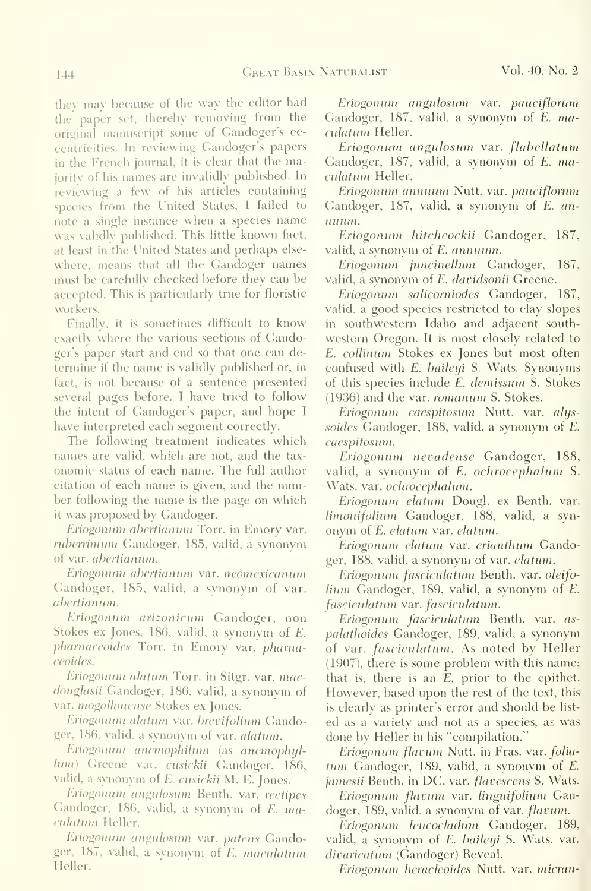they may because of the way the editor had the paper set, thereby removing from the original manuscript some of Gandoger's eccentricities. In reviewing Gandoger's papers in the French journal, it is clear that the majority of his names are invalidly published. In reviewing a few of his articles containing species from the United States, <sup>I</sup> failed to note <sup>a</sup> single instance when <sup>a</sup> species name was validly published. This little known fact, at least in the United States and perhaps else where, means that all the Gandoger names must be carefully checked before they can be accepted. This is particularly true for floristic workers.

Finally, it is sometimes difficult to know exactly where the various sections of Gandoger's paper start and end so that one can de termine if the name is validly published or, in fact, is not because of a sentence presented several pages before. <sup>I</sup> have tried to follow the intent of Gandoger's paper, and hope <sup>I</sup> have interpreted each segment correctly.

The following treatment indicates which names are valid, which are not, and the tax onomic status of each name. The full author citation of each name is given, and the number following the name is the page on which it was proposed by Gandoger.

Eriogonum abertianum Torr. in Emory var. ruberrimum Gandoger, 185, valid, a synonym of var. abertianum.

Eriogonum aberiianum var. neomexicanum Gandoger, 185, valid, a synonym of var. abertianum.

Eriogonum arizonicum Gandoger, non Stokes ex Jones, 186, valid, a synonym of E. pharnaceoides Torr. in Emory var. pharnaceoides.

Eriogonum alattim Torr. in Sitgr. var. macdouglasii (Tandoger, 186, valid, a synonym of var. mogollonense Stokes ex Jones.

Eriogonum alatum var. brevifolium Gandoger, 186, valid, a synonym of var. alatum.

Eriogonum anemophilum (as anemophylluni) Greene var. cusickii Gandoger, 186, valid, <sup>a</sup> synonym of E. cusickii M. E. Jones.

Eriogonum angulosum Benth. var. rectipes Gandoger, 186, valid, <sup>a</sup> synonym of E. maculatum Heller.

Eriogonum angulosum var. patens Gandoger, 187, valid, a synonvm of E. maculatum Heller.

Eriogonum angulosum var. pauciflorum Gandoger, 187, valid, a synonym of E. maculatum Heller.

Eriogonum angulosum var. flabellatum Gandoger, 187, valid, a synonym of E. maculatum Heller.

Eriogonum annuum Nutt. var. pauciflorum Gandoger, 187, valid, a synonym of E. an nuum.

Eriogonum hitchcockii Gandoger, 187, valid, a synonym of E. annuum.

Eriogonum juncinellum Gandoger, 187, valid, a synonym of E. davidsonii Greene.

Eriogonum salicorniodes Gandoger, 187, valid, a good species restricted to clay slopes in southwestern Idaho and adjacent south western Oregon. It is most closely related to E. collinum Stokes ex Jones but most often confused with E. baileyi S. Wats. Synonyms of this species include E. demissum S. Stokes (1936) and the var. romanum S. Stokes.

Eriogonum caespitosum Nutt. var. alijs soides Gandoger, 188, valid, a synonym of E. caespitosum.

Eriogonum nevadense Gandoger, 188, valid, a synonym of E. ochrocephalum S. Wats. var. ochrocephalum.

Eriogonum elatum Dougl. ex Benth. var. limonifolium Gandoger, 188, valid, a syn onym of £. elatum var. elatum.

Eriogonum elatum var. erianthum Gandoger, 188, valid, a synonym of var. elatum.

Eriogonum fasciculatum Benth. var. oleifo lium Gandoger, 189, valid, a synonym of E. fasciculatum var. fasciculatum.

Eriogonum fasciculatum Benth. var. as palathoides Gandoger, 189, valid, a synonym of var. fasciculatum. As noted by Heller (1907), there is some problem with this name; that is, there is an E. prior to the epithet. However, based upon the rest of the text, this is clearly as printer's error and should be list ed as a variety and not as a species, as was done by Heller in his "compilation. "

Eriogonum flavum Nutt. in Fras. var. folia tum Gandoger, 189, valid, a synonym of E. jamesii Benth. in DC. var. *flavescens* S. Wats.

Eriogonum flavum var. linguifolium Gandoger, 189, valid, a synonym of var. *flavum*.

Eriogonum leucocladum Gandoger, 189, valid, a synonym of E. baileyi S. Wats. var. divaricatum (Gandoger) Reveal.

Eriogonum heracleoides Nutt. var. micran-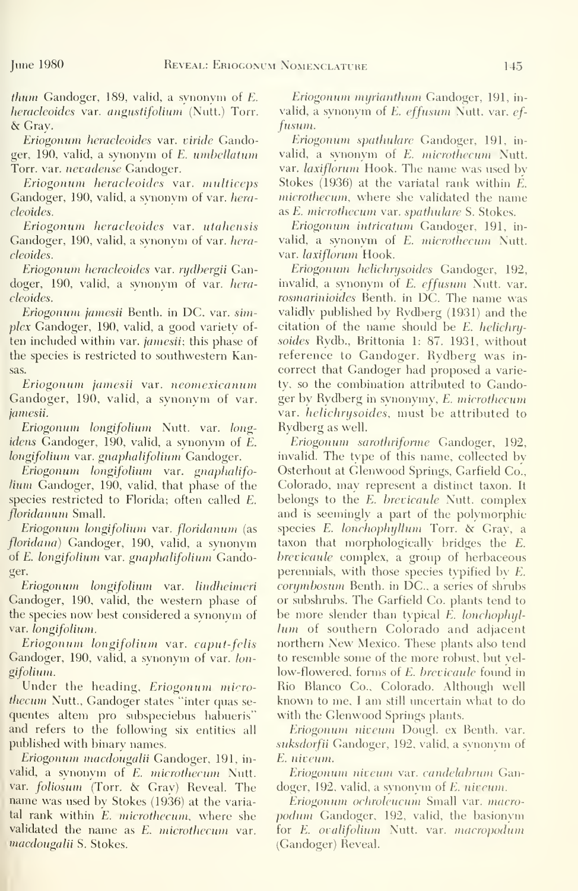*thum* Gandoger, 189, valid, a synonym of  $E$ . heracleoides var. angustifolium (Nutt.) Torr. & Gray.

Eriogonum hcracleoides var. viride Gandoger, 190, valid, a synonym of £. umhellatum Torr. var. nevadense Gandoger.

Eriogonum hcracleoides var. multiccps Gandoger, 190, valid, a synonym of var. heracleoides.

Eriogonum hcracleoides var. utahensis Gandoger, 190, valid, a synonym of var. heracleoides.

Eriogonum hcracleoides var. rydbergii Gandoger, 190, valid, a synonym of var. heracleoides.

Eriogonum jamesii Benth. in DC. var. simplex Gandoger, 190, valid, a good variety of ten included within var. jamesii; this phase of the species is restricted to southwestern Kansas.

Eriogonum jamesii var. neomexicanum Gandoger, 190, valid, a synonym of var. jamesii.

Eriogonum longifolium Nutt. var. long idens Gandoger, 190, valid, a synonym of E. longifolium var. gnaphalifolium Gandoger.

Eriogonum longifolium var. gnaphalifolium Gandoger, 190, valid, that phase of the species restricted to Florida; often called E. floridanum Small.

Eriogonum longifolium var. floridanum (as floridana) Gandoger, 190, valid, a synonym of £. longifolium var. gnaphalifolium Gandoger.

Eriogonum longifolium var. lindheimeri Gandoger, 190, valid, the western phase of the species now best considered a synonvm of var. longifolium.

Eriogonum longifolium var. caput-fclis Gandoger, 190, valid, a synonym of var. longifolium.

Under the heading, *Eriogonum micro*thecum Nutt., Gandoger states "inter quas sequentes altem pro subspeciebus habueris" and refers to the following six entities all published with binary names.

Eriogonum macdougalii Gandoger, 191, in valid, a synonym of E. microthecum Nutt. var. foliosum (Torr. & Gray) Reveal. The name was used by Stokes (1936) at the variatal rank within E. microthecum, where she validated the name as E. microthecum var. macdougalii S. Stokes.

Eriogonum myrianthum Gandoger, 191, in valid, a synonym of E. effusum Nutt. var. effusum.

Eriogonum sputhulare Gandoger, 191, in valid, a synonym of E. microthecum Nutt. var. laxiflorum Hook. The name was used by Stokes (1936) at the variatal rank within E. microthecum, where she validated the name as E. microthecum var. spathulare S. Stokes.

Eriogonum intricatum Gandoger, 191, in valid, a synonym of E. microthecum Nutt. var. laxiflorum Hook.

Eriogonum helichrysoides Gandoger, 192, invalid, a synonym of E. effusum Nutt. var. rosmarinioides Benth. in DC. The name was validly published by Rydberg (1931) and the citation of the name should be E. helichry soides Rydb., Brittonia 1: 87. 1931, without reference to Gandoger. Rydberg was in correct that Gandoger had proposed a variety, so the combination attributed to Gandoger by Rydberg in synonymy, E. microthecum var. helichrysoides, must be attributed to Rydberg as well.

Eriogonum sarothriforme Gandoger, 192, invalid. The type of this name, collected by Osterhout at Glenwood Springs, Garfield Co., Colorado, may represent a distinct taxon. It belongs to the E. brevicaule Nutt. complex and is seemingly a part of the polymorphic species E. lonchophyllum Torr. & Gray, a taxon that morphologically bridges the E. brevicaule complex, a group of herbaceous perennials, with those species typified bv E. corymbosum Benth. in DC, <sup>a</sup> series of shrubs or subshnibs. The Garfield Co. plants tend to be more slender than typical E. lonchophyllum of southern Colorado and adjacent northern New Mexico. These plants also tend to resemble some of the more robust, but yellow-flowered, forms of E. brevicaule found in Rio Blanco Co., Colorado. Although well known to me, <sup>I</sup> am still uncertain what to do with the Glenwood Springs plants.

Eriogonum niveum Dougl. ex Benth. var. suksdorfii Gandoger, 192, valid, a synonym of E. niveum.

Eriogonum niveuni var. candelabrum Gandoger, 192, valid, a synonym of E. niveum.

Eriogonum ochrolcucum Small var. macro podum Gandoger, 192, valid, the basionym for E. ovalifolium Nutt. var. macropodum (Gandoger) Reveal.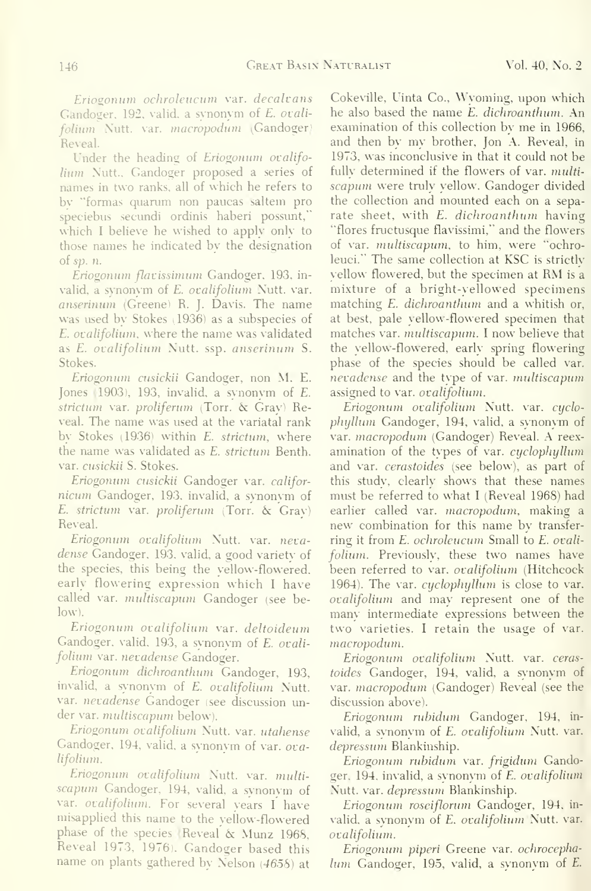Eriogonum ochroleucum var. decalvans Gandoger, 192, valid, a synonym of E. ovalifolium Nutt. var. macropodum (Gandoger) Reveal.

Under the heading of Eriogonum ovalifolium Nutt., Gandoger proposed a series of names in two ranks, all of which he refers to by "formas quarum non paucas saltern pro speciebus secundi ordinis haberi possunt, which I believe he wished to apply only to those names he indicated by the designation of  $sp. n$ .

Eriogonum flavissimum Gandoger, 193, invalid, a synonym of E. ovalifolium Nutt. var. anserinum (Greene) R. J. Davis. The name was used by Stokes (1936) as a subspecies of E. ovalifoliwn, where the name was validated as E. ovalifolium Nutt. ssp. anserinum S. Stokes.

Eriogonum cusickii Gandoger, non M. E. Jones (1903), 193, invalid, a synonym of E. strictum var. proliferum (Torr. & Gray) Reveal. The name was used at the variatal rank by Stokes (1936) within E. strictum, where the name was validated as E. strictum Benth. var. cusickii S. Stokes.

Eriogonum cusickii Gandoger var. califor nicum Gandoger, 193, invalid, a synonvm of E. strictum var. proliferum (Torr.  $\&$  Gray) Reveal.

Eriogonum ovalifolium Nutt. var. neva dense Gandoger, 193, valid, a good varietv of the species, this being the yellow-flowered, early flowering expression which <sup>I</sup> have called var. multiscapum Gandoger (see be- $\vert$ ow).

Eriogonum ovalifolium var. deltoideum Gandoger, valid, 193, a synonym of E. ovalifolium var. nevadense Gandoger.

Eriogonum dichroanthum Gandoger, 193, invalid, a synonym of E. ovalifolium Nutt. var. nevadense Gandoger (see discussion under var. multiscapum below).

Eriogonum ovalifolium Nutt. var. utahense Gandoger, 194, valid, a synonym of var. ovalifolium.

Eriogonum ovalifolium Nutt. var. multiscapum Gandoger, 194, valid, <sup>a</sup> synonym of var. ovalifolium. For several years I have misapplied this name to the yellow-flowered phase of the species (Reveal & Munz 196S, Reveal 1973, 1976). Gandoger based this name on plants gathered by Nelson (4658) at

Cokeville, Uinta Co., Wyoming, upon which he also based the name E. dichroanthum. An examination of this collection by me in 1966, and then by my brother, Jon A. Reveal, in 1973, was inconclusive in that it could not be fully determined if the flowers of var. *multi*scapum were truly yellow. Gandoger divided the collection and mounted each on a separate sheet, with E. dichroanthum having "flores fructusque flavissimi." and the flowers of var. midtiscapum, to him. were "'ochroleuci." The same collection at KSC is strictly yellow flowered, but the specimen at RM is <sup>a</sup> mixture of a bright-yellowed specimens matching E. dichroanthum and a whitish or, at best, pale yellow-flowered specimen that matches var. multiscapum. I now believe that the yellow-flowered, early spring flowering phase of the species should be called var. nevadense and the type of var. multiscapum assigned to var. ovalifolium.

Eriogonum ovalifolium Nutt. var. cyclophijllum Gandoger, 194, valid, a synonym of var. macropodum (Gandoger) Reveal. A reex amination of the types of var. *cyclophyllum* and var. cerastoides (see below), as part of this study, clearly shows that these names must be referred to what <sup>I</sup> (Reveal 1968) had earlier called var. macropodum. making a new combination for this name by transfer ring it from E. ochroleucum Small to E. ovalifolium. Previously, these two names have been referred to var. ovalifolium (Hitchcock 1964). The var. cyclophyllum is close to var. ovalifolium and may represent one of the many intermediate expressions between the two varieties. <sup>I</sup> retain the usage of var. macropodum.

Eriogonum ovalifolium Nutt. var. ceras toides Gandoger, 194, valid, a synonym of var. macropodum (Gandoger) Reveal (see the discussion above).

Eriogonum ruhidum Gandoger. 194, in valid, a svnonym of E. ovalifolium Nutt. var. depressum Blankinship.

Eriogonum ruhidum var. frigidum Gandoger, 194, invalid, a synonym of E. ovalifolium Nutt. var. depressum Blankinship.

Eriogonum roseiflorum Gandoger. 194, in valid, a synonym of E. ovalifolium Nutt. var. ovalifolium.

Eriogonum piperi Greene var. ochrocephalum Gandoger, 195, valid, a synonym of E.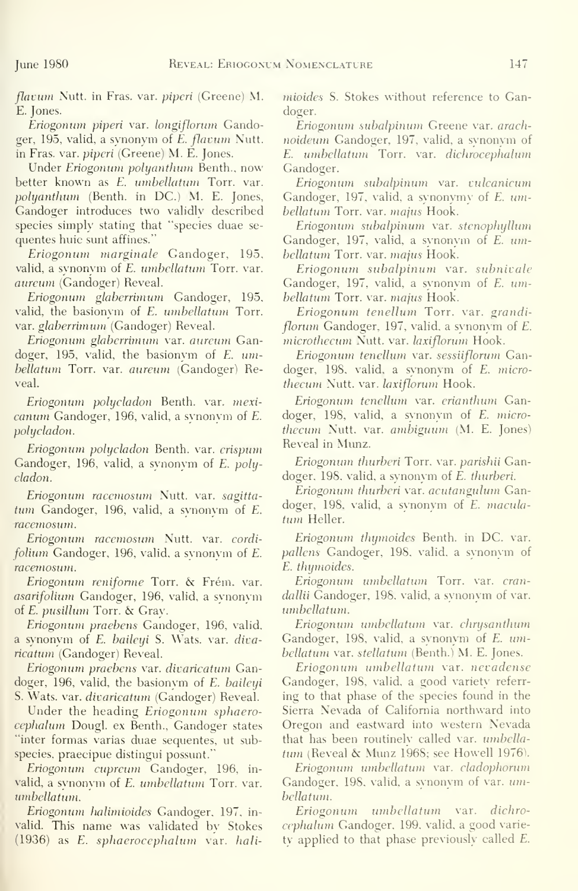flavum Nutt. in Fras. var. *piperi* (Greene) M. E. Jones.

Eriogonum piperi var. longifloruni Gandoger, 195, valid, a synonym of E. flavum Xutt. in Fras. var. piperi (Greene) M. E. Jones.

Under Eriogonum polyanthum Benth., now better known as E. umbellatum Torr. var. polyanthum (Benth. in DC.) M. E. Jones, Gandoger introduces two validly described species simply stating that "species duae se quentes huic sunt affines."

Eriogonum marginale Gandoger, 195, valid, a synonym of E. umbellatum Torr. var. aureum (Gandoger) Reveal.

Eriogonum glaherrimum Gandoger, 195. valid, the basionym of E. umbellatum Torr. var. glaberrimum (Gandoger) Reveal.

Eriogonum glaberrimum var. aureum Gandoger, 195, valid, the basionym of E. umbellatum Torr. var. aureum (Gandoger) Reveal.

Eriogonum polycladon Benth. var. mexicanum Gandoger, 196, valid, a synonym of E. polycladon.

Eriogonum polycladon Benth. var. crispum Gandoger, 196, valid, a synonym of E. polycladon.

Eriogonum racemosum Xutt. var. sagittatum Gandoger, 196, valid, a synonym of E. racemosum.

Eriogonum racemosum Xutt. var. cordi folium Gandoger, 196, valid, a svnonvm of E. racemosum.

Eriogonum reniforme Torr. & Frém. var. asarifolium Gandoger, 196, valid, a svnonvm of E. pusillum Torr. & Gray.

Eriogonum praebens Gandoger, 196, valid, a synonym of E. baileyi S. Wats. var. divaricatum (Gandoger) Reveal.

Eriogonum praebens var. divaricatum Gandoger, 196, valid, the basionym of E. baileyi S. Wats. var. divaricatum (Gandoger) Reveal.

Under the heading *Eriogonum* sphaerocephalum Dougl. ex Benth.. Gandoger states "inter formas varias duae sequentes. ut subspecies, praecipue distingui possunt.'

Eriogonum cupreum Gandoger, 196. in valid, a synonym of E. umbellatum Torr. var. umbellatum.

Eriogonum halimioides Gandoger, 197, in valid. This name was validated by Stokes (1936) as E. sphaerocephalum var. halimioides S. Stokes without reference to Gandoger.

Eriogonum subalpinum Greene var. arachnoideum Gandoger, 197. valid, a synonym of E. umbellatum Torr. var. dichrocephalum Gandoger.

Eriogonum subalpinum var. vulcanicum Gandoger, 197, valid, a synonymy of E. umbellatum Torr. var. majus Hook.

Eriogonum subalpinum var. stenophyllum Gandoger, 197, valid, a synonym of E. umbellatum Torr. var. majus Hook.

Eriogonum subalpinum var. subnivale Gandoger, 197, valid, a synonym of E. umbellatum Torr. var. majus Hook.

Eriogonum tenellum Torr. var. grandiflorum Gandoger, 197, valid, a synonym of E. microthecum Nutt. var. laxiflorum Hook.

Eriogonum tenellum var. sessiiflorum Gandoger, 198, valid, a synonym of E. microthecum Nutt. var. laxiflorum Hook.

Eriogonum tenellum var. erianthum Gandoger, 198, valid, a synonym of E. microthecum Xutt. var. ambiguum (M. E. Jones) Reveal in Mimz.

Eriogonum thurberi Torr. var. parishii Gandoger. 198, valid, a svnonvm of £. thurberi.

Eriogonum thurberi var. acutangulum Gandoger, 198. valid, a synonvm of E. maculatum Heller.

Eriogonum thymoides Benth. in DC. var. pallens Gandoger, 198, valid, a synonym of £. thymoides.

Eriogonum umbellatum Torr. var. crandallii Gandoger, 198, valid, a synonym of var. umbellatum.

Eriogonum umbellatum var. chrysanthum Gandoger, 198, valid, a synonym of E. umbellatum var. stellatum (Benth.) M. E. Jones.

Eriogonum umbellatum var. nevadense Gandoger, 198, valid, a good variety referr ing to that phase of the species found in the Sierra Xevada of California northward into Oregon and eastward into uestern Xevada that has been routinelv called var. umbellatum (Reveal & Munz 1968; see Howell 1976).

Eriogonum umbellatum var. cladophorum Gandoger, 198, valid, a synonym of var. umbellatum.

Eriogonum umbellatum var. dichrocephalum Gandoger, 199, valid, a good variety applied to that phase previously called E.